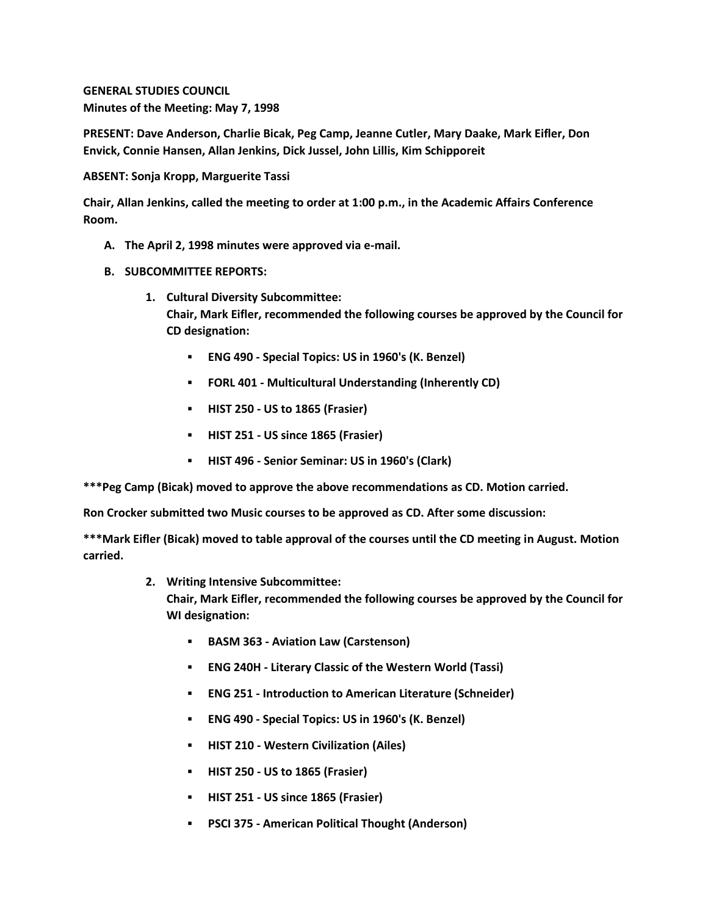**GENERAL STUDIES COUNCIL Minutes of the Meeting: May 7, 1998**

**PRESENT: Dave Anderson, Charlie Bicak, Peg Camp, Jeanne Cutler, Mary Daake, Mark Eifler, Don Envick, Connie Hansen, Allan Jenkins, Dick Jussel, John Lillis, Kim Schipporeit**

**ABSENT: Sonja Kropp, Marguerite Tassi**

**Chair, Allan Jenkins, called the meeting to order at 1:00 p.m., in the Academic Affairs Conference Room.**

- **A. The April 2, 1998 minutes were approved via e-mail.**
- **B. SUBCOMMITTEE REPORTS:**
	- **1. Cultural Diversity Subcommittee: Chair, Mark Eifler, recommended the following courses be approved by the Council for CD designation:** 
		- **ENG 490 - Special Topics: US in 1960's (K. Benzel)**
		- **FORL 401 - Multicultural Understanding (Inherently CD)**
		- **HIST 250 - US to 1865 (Frasier)**
		- **HIST 251 - US since 1865 (Frasier)**
		- **HIST 496 - Senior Seminar: US in 1960's (Clark)**

**\*\*\*Peg Camp (Bicak) moved to approve the above recommendations as CD. Motion carried.** 

**Ron Crocker submitted two Music courses to be approved as CD. After some discussion:**

**\*\*\*Mark Eifler (Bicak) moved to table approval of the courses until the CD meeting in August. Motion carried.**

**2. Writing Intensive Subcommittee:**

**Chair, Mark Eifler, recommended the following courses be approved by the Council for WI designation:** 

- **BASM 363 - Aviation Law (Carstenson)**
- **ENG 240H - Literary Classic of the Western World (Tassi)**
- **ENG 251 - Introduction to American Literature (Schneider)**
- **ENG 490 - Special Topics: US in 1960's (K. Benzel)**
- **HIST 210 - Western Civilization (Ailes)**
- **HIST 250 - US to 1865 (Frasier)**
- **HIST 251 - US since 1865 (Frasier)**
- **PSCI 375 - American Political Thought (Anderson)**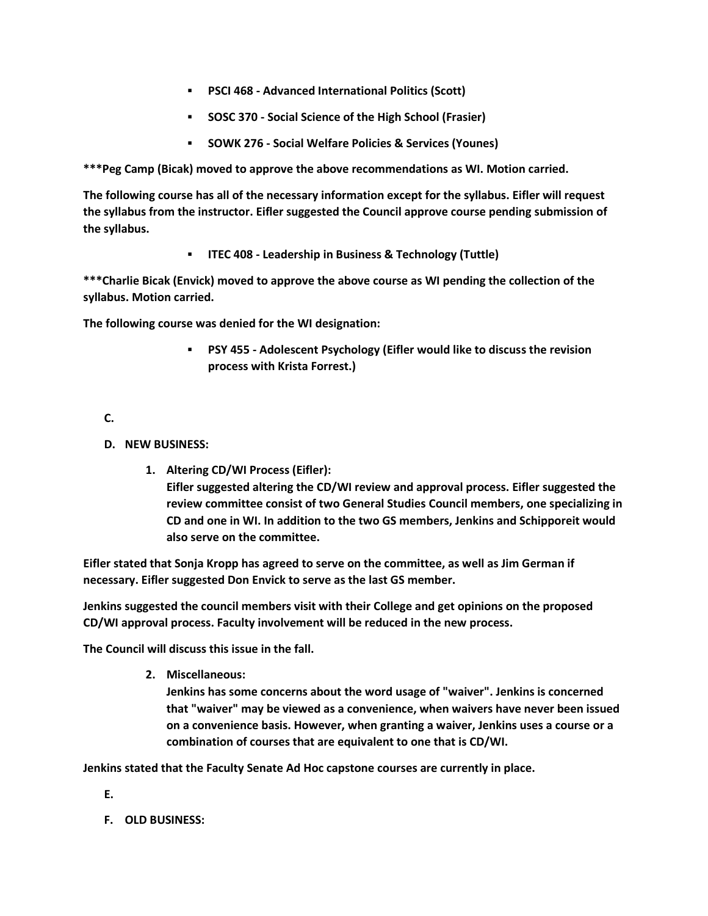- **PSCI 468 - Advanced International Politics (Scott)**
- **SOSC 370 - Social Science of the High School (Frasier)**
- **SOWK 276 - Social Welfare Policies & Services (Younes)**

**\*\*\*Peg Camp (Bicak) moved to approve the above recommendations as WI. Motion carried.** 

**The following course has all of the necessary information except for the syllabus. Eifler will request the syllabus from the instructor. Eifler suggested the Council approve course pending submission of the syllabus.**

**ITEC 408 - Leadership in Business & Technology (Tuttle)**

**\*\*\*Charlie Bicak (Envick) moved to approve the above course as WI pending the collection of the syllabus. Motion carried.** 

**The following course was denied for the WI designation:**

 **PSY 455 - Adolescent Psychology (Eifler would like to discuss the revision process with Krista Forrest.)**

**C.**

- **D. NEW BUSINESS:**
	- **1. Altering CD/WI Process (Eifler): Eifler suggested altering the CD/WI review and approval process. Eifler suggested the review committee consist of two General Studies Council members, one specializing in CD and one in WI. In addition to the two GS members, Jenkins and Schipporeit would also serve on the committee.**

**Eifler stated that Sonja Kropp has agreed to serve on the committee, as well as Jim German if necessary. Eifler suggested Don Envick to serve as the last GS member.**

**Jenkins suggested the council members visit with their College and get opinions on the proposed CD/WI approval process. Faculty involvement will be reduced in the new process.**

**The Council will discuss this issue in the fall.**

**2. Miscellaneous:**

**Jenkins has some concerns about the word usage of "waiver". Jenkins is concerned that "waiver" may be viewed as a convenience, when waivers have never been issued on a convenience basis. However, when granting a waiver, Jenkins uses a course or a combination of courses that are equivalent to one that is CD/WI.** 

**Jenkins stated that the Faculty Senate Ad Hoc capstone courses are currently in place.**

- **E.**
- **F. OLD BUSINESS:**